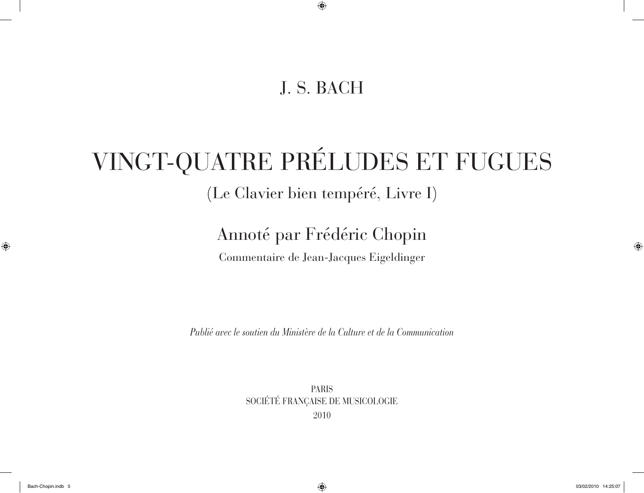## J. S. BACH

# VINGT-QUATRE PRÉLUDES ET FUGUES (Le Clavier bien tempéré, Livre I)

# Annoté par Frédéric Chopin

Commentaire de Jean-Jacques Eigeldinger

*Publié avec le soutien du Ministère de la Culture et de la Communication*

PARIS SOCIÉTÉ FRANÇAISE DE MUSICOLOGIE 2010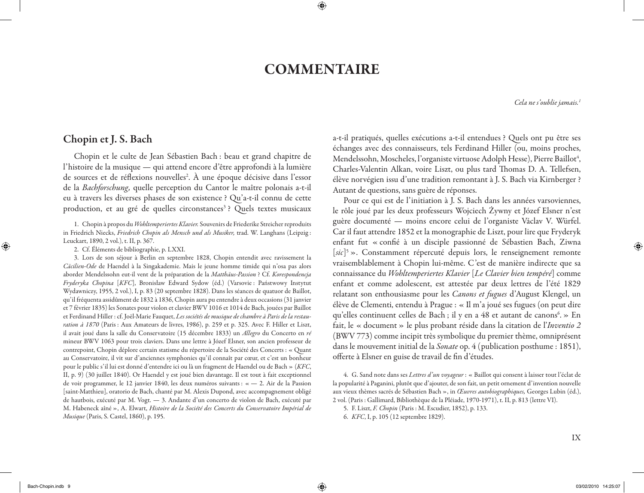### **COMMENTAIRE**

*Cela ne s'oublie jamais.1*

#### Chopin et J. S. Bach

Chopin et le culte de Jean Sébastien Bach : beau et grand chapitre de l'histoire de la musique — qui attend encore d'être approfondi à la lumière de sources et de réflexions nouvelles2 . À une époque décisive dans l'essor de la *Bachforschung,* quelle perception du Cantor le maître polonais a-t-il eu à travers les diverses phases de son existence ? Qu'a-t-il connu de cette production, et au gré de quelles circonstances<sup>3</sup> ? Quels textes musicaux

1. Chopin à propos du *Wohltemperiertes Klavier.* Souvenirs de Friederike Streicher reproduits in Friedrich Niecks, *Friedrich Chopin als Mensch und als Musiker,* trad. W. Langhans (Leipzig : Leuckart, 1890, 2 vol.), t. II, p. 367.

2. Cf. Éléments de bibliographie, p. LXXI.

3. Lors de son séjour à Berlin en septembre 1828, Chopin entendit avec ravissement la *Cäcilien-Ode* de Haendel à la Singakademie. Mais le jeune homme timide qui n'osa pas alors aborder Mendelssohn eut-il vent de la préparation de la *Matthäus-Passion* ? Cf. *Korespondencja Fryderyka Chopina* [*KFC*], Bronisław Edward Sydow (éd.) (Varsovie : Państwowy Instytut Wydawniczy, 1955, 2 vol.), I, p. 83 (20 septembre 1828). Dans les séances de quatuor de Baillot, qu'il fréquenta assidûment de 1832 à 1836, Chopin aura pu entendre à deux occasions (31 janvier et 7 février 1835) les Sonates pour violon et clavier BWV 1016 et 1014 de Bach, jouées par Baillot et Ferdinand Hiller : cf. Joël-Marie Fauquet, *Les sociétés de musique de chambre à Paris de la restauration à 1870* (Paris : Aux Amateurs de livres, 1986), p. 259 et p. 325. Avec F. Hiller et Liszt, il avait joué dans la salle du Conservatoire (15 décembre 1833) un *Allegro* du Concerto en *ré* mineur BWV 1063 pour trois claviers. Dans une lettre à Józef Elsner, son ancien professeur de contrepoint, Chopin déplore certain statisme du répertoire de la Société des Concerts : « Quant au Conservatoire, il vit sur d'anciennes symphonies qu'il connaît par cœur, et c'est un bonheur pour le public s'il lui est donné d'entendre ici ou là un fragment de Haendel ou de Bach» (*KFC*, II, p. 9) (30 juillet 1840). Or Haendel y est joué bien davantage. Il est tout à fait exceptionnel de voir programmer, le 12 janvier 1840, les deux numéros suivants : « — 2. Air de la Passion [saint-Matthieu], oratorio de Bach, chanté par M. Alexis Dupond, avec accompagnement obligé de hautbois, exécuté par M. Vogt. — 3. Andante d'un concerto de violon de Bach, exécuté par M. Habeneck aîné», A. Elwart, *Histoire de la Société des Concerts du Conservatoire Impérial de Musique* (Paris, S. Castel, 1860), p. 195.

a-t-il pratiqués, quelles exécutions a-t-il entendues ? Quels ont pu être ses échanges avec des connaisseurs, tels Ferdinand Hiller (ou, moins proches, Mendelssohn, Moscheles, l'organiste virtuose Adolph Hesse), Pierre Baillot $^{\ast}$ , Charles-Valentin Alkan, voire Liszt, ou plus tard Thomas D. A. Tellefsen, élève norvégien issu d'une tradition remontant à J. S. Bach via Kirnberger ? Autant de questions, sans guère de réponses.

Pour ce qui est de l'initiation à J. S. Bach dans les années varsoviennes, le rôle joué par les deux professeurs Wojciech Żywny et Józef Elsner n'est guère documenté — moins encore celui de l'organiste Václav V. Würfel. Car il faut attendre 1852 et la monographie de Liszt, pour lire que Fryderyk enfant fut «confié à un disciple passionné de Sébastien Bach, Ziwna [*sic*]5». Constamment répercuté depuis lors, le renseignement remonte vraisemblablement à Chopin lui-même. C'est de manière indirecte que sa connaissance du *Wohltemperiertes Klavier* [*Le Clavier bien tempéré*] comme enfant et comme adolescent, est attestée par deux lettres de l'été 1829 relatant son enthousiasme pour les *Canons et fugues* d'August Klengel, un élève de Clementi, entendu à Prague : «Il m'a joué ses fugues (on peut dire qu'elles continuent celles de Bach ; il y en a 48 et autant de canons<sup>6</sup>. » En fait, le «document» le plus probant réside dans la citation de l'*Inventio 2* (BWV 773) comme incipit très symbolique du premier thème, omniprésent dans le mouvement initial de la *Sonate* op. 4 (publication posthume : 1851), offerte à Elsner en guise de travail de fin d'études.

4. G. Sand note dans ses *Lettres d'un voyageur* : «Baillot qui consent à laisser tout l'éclat de la popularité à Paganini, plutôt que d'ajouter, de son fait, un petit ornement d'invention nouvelle aux vieux thèmes sacrés de Sébastien Bach», in *Œuvres autobiographiques,* Georges Lubin (éd.), 2 vol. (Paris : Gallimard, Bibliothèque de la Pléiade, 1970-1971), t. II, p. 813 (lettre VI).

<sup>5.</sup> F. Liszt, *F. Chopin* (Paris : M. Escudier, 1852), p. 133.

<sup>6.</sup> *KFC*, I, p. 105 (12 septembre 1829).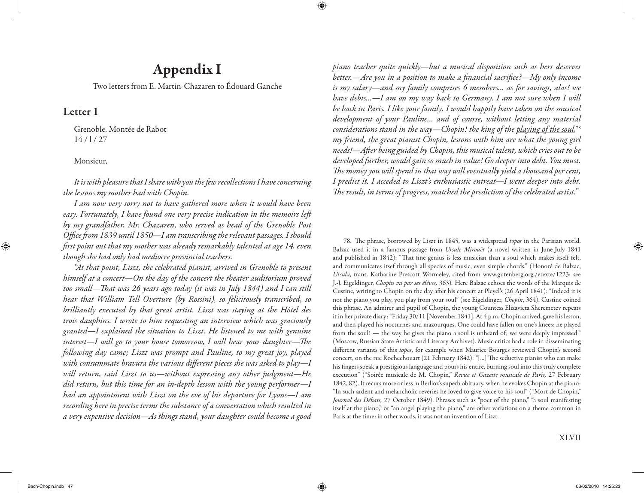## Appendix I

Two letters from E. Martin-Chazaren to Édouard Ganche

#### Letter 1

Grenoble. Montée de Rabot 14 / l / 27

#### Monsieur,

*It is with pleasure that I share with you the few recollections I have concerning the lessons my mother had with Chopin.*

*I am now very sorry not to have gathered more when it would have been easy. Fortunately, I have found one very precise indication in the memoirs left by my grandfather, Mr. Chazaren, who served as head of the Grenoble Post Office from 1839 until 1850—I am transcribing the relevant passages. I should first point out that my mother was already remarkably talented at age 14, even though she had only had mediocre provincial teachers.*

*"At that point, Liszt, the celebrated pianist, arrived in Grenoble to present himself at a concert—On the day of the concert the theater auditorium proved too small—That was 26 years ago today (it was in July 1844) and I can still hear that William Tell Overture (by Rossini), so felicitously transcribed, so brilliantly executed by that great artist. Liszt was staying at the Hôtel des trois dauphins. I wrote to him requesting an interview which was graciously granted—I explained the situation to Liszt. He listened to me with genuine interest—I will go to your house tomorrow, I will hear your daughter—The following day came; Liszt was prompt and Pauline, to my great joy, played with consummate bravura the various different pieces she was asked to play—I will return, said Liszt to us—without expressing any other judgment—He did return, but this time for an in-depth lesson with the young performer—I had an appointment with Liszt on the eve of his departure for Lyons—I am recording here in precise terms the substance of a conversation which resulted in a very expensive decision—As things stand, your daughter could become a good* 

*piano teacher quite quickly—but a musical disposition such as hers deserves better.—Are you in a position to make a financial sacrifice?—My only income is my salary—and my family comprises 6 members... as for savings, alas! we have debts...—I am on my way back to Germany. I am not sure when I will be back in Paris. I like your family. I would happily have taken on the musical development of your Pauline… and of course, without letting any material considerations stand in the way—Chopin! the king of the playing of the soul,*<sup>78</sup> *my friend, the great pianist Chopin, lessons with him are what the young girl needs!—After being guided by Chopin, this musical talent, which cries out to be developed further, would gain so much in value! Go deeper into debt. You must. The money you will spend in that way will eventually yield a thousand per cent, I predict it. I acceded to Liszt's enthusiastic entreat—I went deeper into debt. The result, in terms of progress, matched the prediction of the celebrated artist."*

78. The phrase, borrowed by Liszt in 1845, was a widespread *topos* in the Parisian world. Balzac used it in a famous passage from *Ursule Mirouët* (a novel written in June-July 1841 and published in 1842): "That fine genius is less musician than a soul which makes itself felt, and communicates itsef through all species of music, even simple chords." (Honoré de Balzac, *Ursula*, trans. Katharine Prescott Wormeley, cited from www.gutenberg.org./etexte/1223; see J.-J. Eigeldinger, *Chopin vu par ses élèves,* 363)*.* Here Balzac echoes the words of the Marquis de Custine, writing to Chopin on the day after his concert at Pleyel's (26 April 1841): "Indeed it is not the piano you play, you play from your soul" (see Eigeldinger, *Chopin*, 364). Custine coined this phrase. An admirer and pupil of Chopin, the young Countess Elizavieta Sheremetev repeats it in her private diary: "Friday 30/11 [November 1841]. At 4 p.m. Chopin arrived, gave his lesson, and then played his nocturnes and mazourques. One could have fallen on one's knees: he played from the soul! — the way he gives the piano a soul is unheard of; we were deeply impressed." (Moscow, Russian State Artistic and Literary Archives). Music critics had a role in disseminating different variants of this *topos*, for example when Maurice Bourges reviewed Chopin's second concert, on the rue Rochechouart (21 February 1842): "[...] The seductive pianist who can make his fingers speak a prestigious language and pours his entire, burning soul into this truly complete execution" ("Soirée musicale de M. Chopin," *Revue et Gazette musicale de Paris,* 27 February 1842, 82). It recurs more or less in Berlioz's superb obituary, when he evokes Chopin at the piano: "In such ardent and melancholic reveries he loved to give voice to his soul" ("Mort de Chopin," *Journal des Débats,* 27 October 1849). Phrases such as "poet of the piano," "a soul manifesting itself at the piano," or "an angel playing the piano," are other variations on a theme common in Paris at the time: in other words, it was not an invention of Liszt.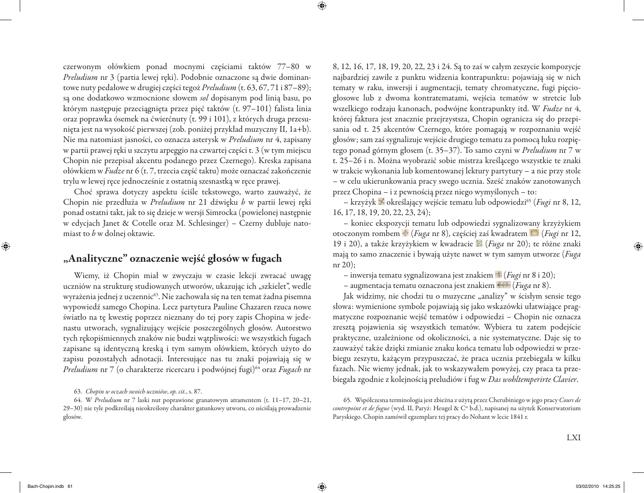czerwonym ołówkiem ponad mocnymi częściami taktów 77–80 w *Preludium* nr 3 (partia lewej ręki). Podobnie oznaczone są dwie dominantowe nuty pedałowe w drugiej części tegoż *Preludium* (t. 63, 67, 71 i 87–89); są one dodatkowo wzmocnione słowem *sol* dopisanym pod linią basu, po którym następuje przeciągnięta przez pięć taktów (t. 97–101) falista linia oraz poprawka ósemek na ćwierćnuty (t. 99 i 101), z których druga przesunięta jest na wysokość pierwszej (zob. poniżej przykład muzyczny II, 1a+b). Nie ma natomiast jasności, co oznacza asterysk w *Preludium* nr 4, zapisany w partii prawej ręki u szczytu arpeggio na czwartej części t. 3 (w tym miejscu Chopin nie przepisał akcentu podanego przez Czernego). Kreska zapisana ołówkiem w *Fudze* nr 6 (t. 7, trzecia część taktu) może oznaczać zakończenie trylu w lewej ręce jednocześnie z ostatnią szesnastką w ręce prawej.

Choć sprawa dotyczy aspektu ściśle tekstowego, warto zauważyć, że Chopin nie przedłuża w *Preludium* nr 21 dźwięku *b* w partii lewej ręki ponad ostatni takt, jak to się dzieje w wersji Simrocka (powielonej następnie w edycjach Janet & Cotelle oraz M. Schlesinger) – Czerny dubluje natomiast to *b* w dolnej oktawie.

#### "Analityczne" oznaczenie wejść głosów w fugach

Wiemy, iż Chopin miał w zwyczaju w czasie lekcji zwracać uwagę uczniów na strukturę studiowanych utworów, ukazując ich "szkielet", wedle wyrażenia jednej z uczennic<sup>63</sup>. Nie zachowała się na ten temat żadna pisemna wypowiedź samego Chopina. Lecz partytura Pauline Chazaren rzuca nowe światło na tę kwestię poprzez nieznany do tej pory zapis Chopina w jedenastu utworach, sygnalizujący wejście poszczególnych głosów. Autorstwo tych rękopiśmiennych znaków nie budzi wątpliwości: we wszystkich fugach zapisane są identyczną kreską i tym samym ołówkiem, których użyto do zapisu pozostałych adnotacji. Interesujące nas tu znaki pojawiają się w *Preludium* nr 7 (o charakterze ricercaru i podwójnej fugi)64 oraz *Fugach* nr

63. *Chopin w oczach swoich uczniów*, *op. cit.*, s. 87.

64. W *Preludium* nr 7 laski nut poprawione granatowym atramentem (t. 11–17, 20–21, 29–30) nie tyle podkreślają nieokreślony charakter gatunkowy utworu, co uściślają prowadzenie głosów.

8, 12, 16, 17, 18, 19, 20, 22, 23 i 24. Są to zaś w całym zeszycie kompozycje najbardziej zawiłe z punktu widzenia kontrapunktu: pojawiają się w nich tematy w raku, inwersji i augmentacji, tematy chromatyczne, fugi pięciogłosowe lub z dwoma kontratematami, wejścia tematów w stretcie lub wszelkiego rodzaju kanonach, podwójne kontrapunkty itd. W *Fudze* nr 4, której faktura jest znacznie przejrzystsza, Chopin ogranicza się do przepisania od t. 25 akcentów Czernego, które pomagają w rozpoznaniu wejść głosów; sam zaś sygnalizuje wejście drugiego tematu za pomocą łuku rozpiętego ponad górnym głosem (t. 35–37). To samo czyni w *Preludium* nr 7 w t. 25–26 i n. Można wyobrazić sobie mistrza kreślącego wszystkie te znaki w trakcie wykonania lub komentowanej lektury partytury – a nie przy stole – w celu ukierunkowania pracy swego ucznia. Sześć znaków zanotowanych przez Chopina – i z pewnością przez niego wymyślonych – to:

– krzyżyk określający wejście tematu lub odpowiedzi65 (*Fugi* nr 8, 12, 16, 17, 18, 19, 20, 22, 23, 24);

– koniec ekspozycji tematu lub odpowiedzi sygnalizowany krzyżykiem otoczonym rombem (*Fuga* nr 8), częściej zaś kwadratem (*Fugi* nr 12, 19 i 20), a także krzyżykiem w kwadracie (*Fuga* nr 20); te różne znaki mają to samo znaczenie i bywają użyte nawet w tym samym utworze (*Fuga* nr 20);

– inwersja tematu sygnalizowana jest znakiem (*Fugi* nr 8 i 20);

– augmentacja tematu oznaczona jest znakiem (*Fuga* nr 8).

Jak widzimy, nie chodzi tu o muzyczne "analizy" w ścisłym sensie tego słowa: wymienione symbole pojawiają się jako wskazówki ułatwiające pragmatyczne rozpoznanie wejść tematów i odpowiedzi – Chopin nie oznacza zresztą pojawienia się wszystkich tematów. Wybiera tu zatem podejście praktyczne, uzależnione od okoliczności, a nie systematyczne. Daje się to zauważyć także dzięki zmianie znaku końca tematu lub odpowiedzi w przebiegu zeszytu, każącym przypuszczać, że praca ucznia przebiegała w kilku fazach. Nie wiemy jednak, jak to wskazywałem powyżej, czy praca ta przebiegała zgodnie z kolejnością preludiów i fug w *Das wohltemperirte Clavier*.

<sup>65.</sup> Współczesna terminologia jest zbieżna z użytą przez Cherubiniego w jego pracy *Cours de contrepoint et de fugue* (wyd. II, Paryż: Heugel & Cie b.d.), napisanej na użytek Konserwatorium Paryskiego. Chopin zamówił egzemplarz tej pracy do Nohant w lecie 1841 r.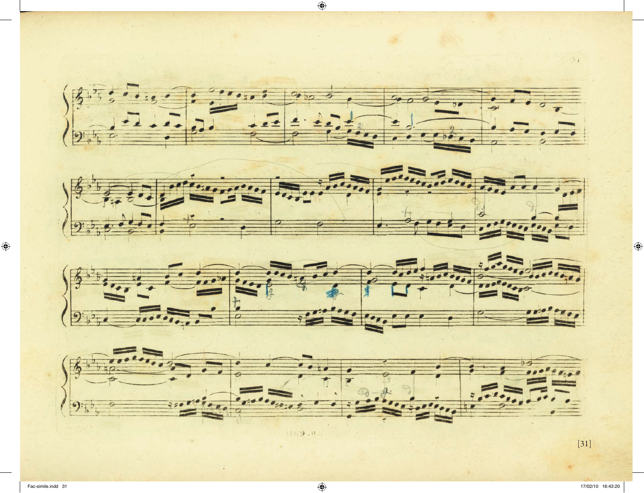







1169.18

[31]